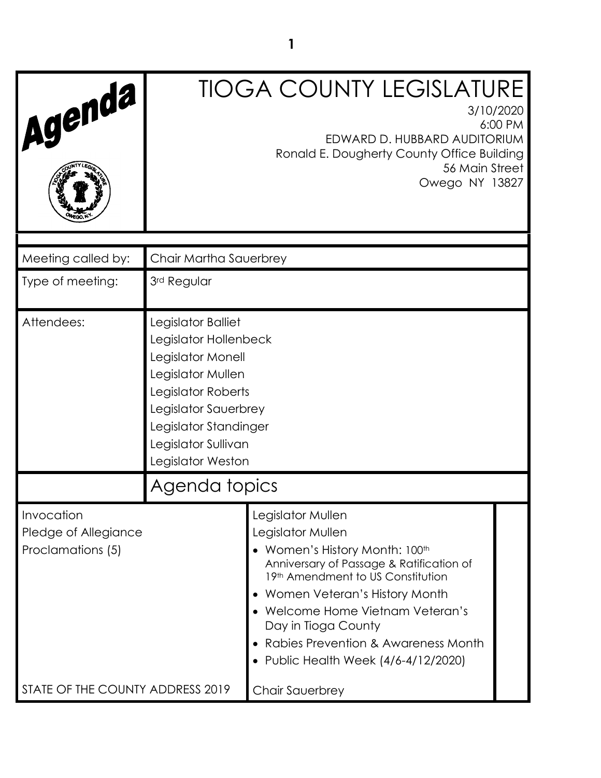| Agenda                                                  |                                                                                                                                                                                                          | <b>TIOGA COUNTY LEGISLATURE</b><br>3/10/2020<br>EDWARD D. HUBBARD AUDITORIUM<br>Ronald E. Dougherty County Office Building<br>56 Main Street<br>Owego NY 13827                                                                                                                                                                   | 6:00 PM |
|---------------------------------------------------------|----------------------------------------------------------------------------------------------------------------------------------------------------------------------------------------------------------|----------------------------------------------------------------------------------------------------------------------------------------------------------------------------------------------------------------------------------------------------------------------------------------------------------------------------------|---------|
| Meeting called by:                                      | Chair Martha Sauerbrey                                                                                                                                                                                   |                                                                                                                                                                                                                                                                                                                                  |         |
| Type of meeting:                                        | 3rd Regular                                                                                                                                                                                              |                                                                                                                                                                                                                                                                                                                                  |         |
| Attendees:                                              | Legislator Balliet<br>Legislator Hollenbeck<br>Legislator Monell<br>Legislator Mullen<br>Legislator Roberts<br>Legislator Sauerbrey<br>Legislator Standinger<br>Legislator Sullivan<br>Legislator Weston |                                                                                                                                                                                                                                                                                                                                  |         |
|                                                         | Agenda topics                                                                                                                                                                                            |                                                                                                                                                                                                                                                                                                                                  |         |
| Invocation<br>Pledge of Allegiance<br>Proclamations (5) |                                                                                                                                                                                                          | Legislator Mullen<br>Legislator Mullen<br>• Women's History Month: 100th<br>Anniversary of Passage & Ratification of<br>19th Amendment to US Constitution<br>Women Veteran's History Month<br>Welcome Home Vietnam Veteran's<br>Day in Tioga County<br>Rabies Prevention & Awareness Month<br>Public Health Week (4/6-4/12/2020) |         |
| STATE OF THE COUNTY ADDRESS 2019                        |                                                                                                                                                                                                          | Chair Sauerbrey                                                                                                                                                                                                                                                                                                                  |         |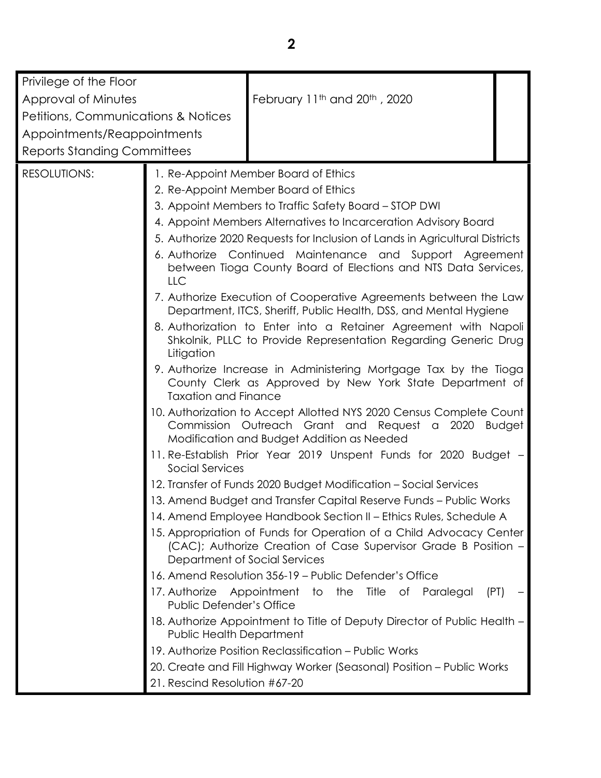| Privilege of the Floor                         |                                                  |                                                                                                                                                                          |  |
|------------------------------------------------|--------------------------------------------------|--------------------------------------------------------------------------------------------------------------------------------------------------------------------------|--|
| Approval of Minutes                            |                                                  | February 11th and 20th, 2020                                                                                                                                             |  |
| <b>Petitions, Communications &amp; Notices</b> |                                                  |                                                                                                                                                                          |  |
| Appointments/Reappointments                    |                                                  |                                                                                                                                                                          |  |
| <b>Reports Standing Committees</b>             |                                                  |                                                                                                                                                                          |  |
|                                                |                                                  |                                                                                                                                                                          |  |
| <b>RESOLUTIONS:</b>                            |                                                  | 1. Re-Appoint Member Board of Ethics                                                                                                                                     |  |
|                                                |                                                  | 2. Re-Appoint Member Board of Ethics                                                                                                                                     |  |
|                                                |                                                  | 3. Appoint Members to Traffic Safety Board - STOP DWI                                                                                                                    |  |
|                                                |                                                  | 4. Appoint Members Alternatives to Incarceration Advisory Board                                                                                                          |  |
|                                                |                                                  | 5. Authorize 2020 Requests for Inclusion of Lands in Agricultural Districts                                                                                              |  |
|                                                | LLC                                              | 6. Authorize Continued Maintenance and Support Agreement<br>between Tioga County Board of Elections and NTS Data Services,                                               |  |
|                                                |                                                  | 7. Authorize Execution of Cooperative Agreements between the Law<br>Department, ITCS, Sheriff, Public Health, DSS, and Mental Hygiene                                    |  |
|                                                | Litigation                                       | 8. Authorization to Enter into a Retainer Agreement with Napoli<br>Shkolnik, PLLC to Provide Representation Regarding Generic Drug                                       |  |
|                                                | <b>Taxation and Finance</b>                      | 9. Authorize Increase in Administering Mortgage Tax by the Tioga<br>County Clerk as Approved by New York State Department of                                             |  |
|                                                |                                                  | 10. Authorization to Accept Allotted NYS 2020 Census Complete Count<br>Commission Outreach Grant and Request a 2020 Budget<br>Modification and Budget Addition as Needed |  |
|                                                | Social Services                                  | 11. Re-Establish Prior Year 2019 Unspent Funds for 2020 Budget -                                                                                                         |  |
|                                                |                                                  | 12. Transfer of Funds 2020 Budget Modification - Social Services                                                                                                         |  |
|                                                |                                                  | 13. Amend Budget and Transfer Capital Reserve Funds - Public Works                                                                                                       |  |
|                                                |                                                  | 14. Amend Employee Handbook Section II - Ethics Rules, Schedule A                                                                                                        |  |
|                                                | Department of Social Services                    | 15. Appropriation of Funds for Operation of a Child Advocacy Center<br>(CAC); Authorize Creation of Case Supervisor Grade B Position -                                   |  |
|                                                |                                                  | 16. Amend Resolution 356-19 - Public Defender's Office                                                                                                                   |  |
|                                                | 17. Authorize<br><b>Public Defender's Office</b> | Appointment to the<br>Title<br>оf<br>Paralegal<br>(PT)                                                                                                                   |  |
|                                                | Public Health Department                         | 18. Authorize Appointment to Title of Deputy Director of Public Health –                                                                                                 |  |
|                                                |                                                  | 19. Authorize Position Reclassification – Public Works                                                                                                                   |  |
|                                                |                                                  | 20. Create and Fill Highway Worker (Seasonal) Position - Public Works                                                                                                    |  |
|                                                | 21. Rescind Resolution #67-20                    |                                                                                                                                                                          |  |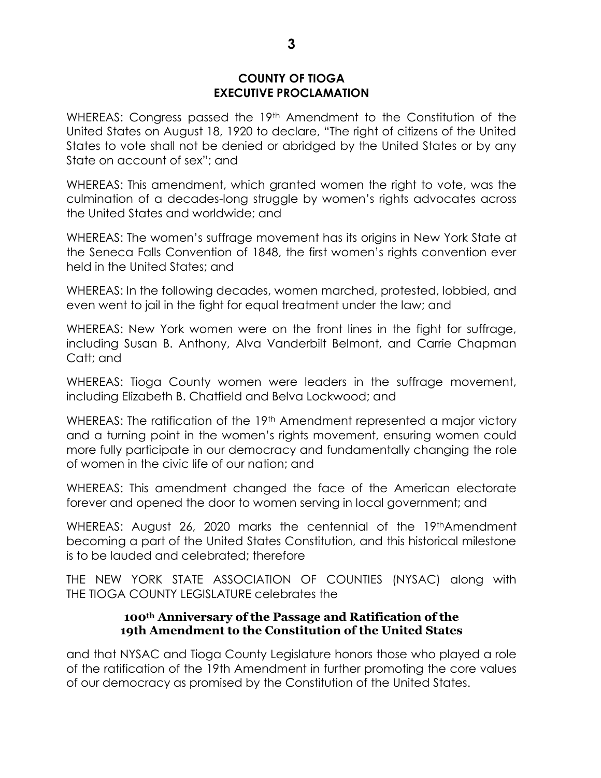WHEREAS: Congress passed the 19<sup>th</sup> Amendment to the Constitution of the United States on August 18, 1920 to declare, "The right of citizens of the United States to vote shall not be denied or abridged by the United States or by any State on account of sex"; and

WHEREAS: This amendment, which granted women the right to vote, was the culmination of a decades-long struggle by women's rights advocates across the United States and worldwide; and

WHEREAS: The women's suffrage movement has its origins in New York State at the Seneca Falls Convention of 1848, the first women's rights convention ever held in the United States; and

WHEREAS: In the following decades, women marched, protested, lobbied, and even went to jail in the fight for equal treatment under the law; and

WHEREAS: New York women were on the front lines in the fight for suffrage, including Susan B. Anthony, Alva Vanderbilt Belmont, and Carrie Chapman Catt; and

WHEREAS: Tioga County women were leaders in the suffrage movement, including Elizabeth B. Chatfield and Belva Lockwood; and

WHEREAS: The ratification of the 19<sup>th</sup> Amendment represented a major victory and a turning point in the women's rights movement, ensuring women could more fully participate in our democracy and fundamentally changing the role of women in the civic life of our nation; and

WHEREAS: This amendment changed the face of the American electorate forever and opened the door to women serving in local government; and

WHEREAS: August 26, 2020 marks the centennial of the 19<sup>th</sup>Amendment becoming a part of the United States Constitution, and this historical milestone is to be lauded and celebrated; therefore

THE NEW YORK STATE ASSOCIATION OF COUNTIES (NYSAC) along with THE TIOGA COUNTY LEGISLATURE celebrates the

# **100th Anniversary of the Passage and Ratification of the 19th Amendment to the Constitution of the United States**

and that NYSAC and Tioga County Legislature honors those who played a role of the ratification of the 19th Amendment in further promoting the core values of our democracy as promised by the Constitution of the United States.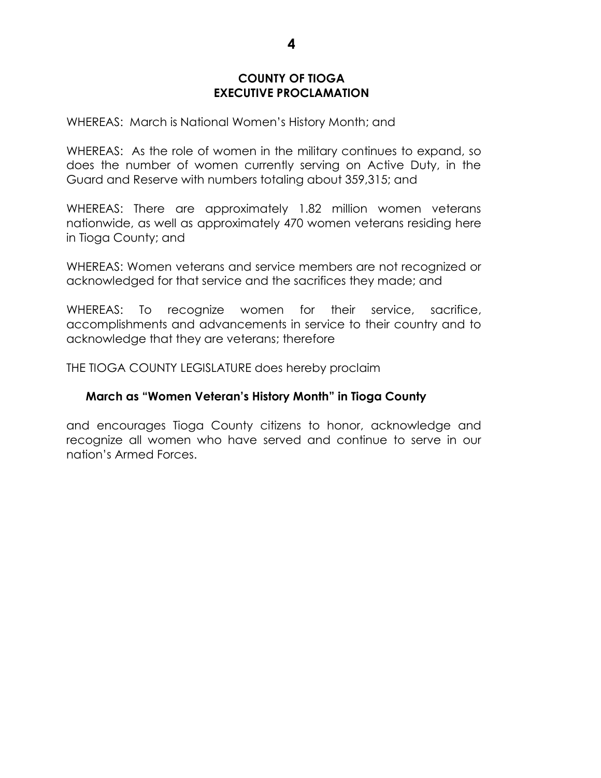WHEREAS: March is National Women's History Month; and

WHEREAS: As the role of women in the military continues to expand, so does the number of women currently serving on Active Duty, in the Guard and Reserve with numbers totaling about 359,315; and

WHEREAS: There are approximately 1.82 million women veterans nationwide, as well as approximately 470 women veterans residing here in Tioga County; and

WHEREAS: Women veterans and service members are not recognized or acknowledged for that service and the sacrifices they made; and

WHEREAS: To recognize women for their service, sacrifice, accomplishments and advancements in service to their country and to acknowledge that they are veterans; therefore

THE TIOGA COUNTY LEGISLATURE does hereby proclaim

### **March as "Women Veteran's History Month" in Tioga County**

and encourages Tioga County citizens to honor, acknowledge and recognize all women who have served and continue to serve in our nation's Armed Forces.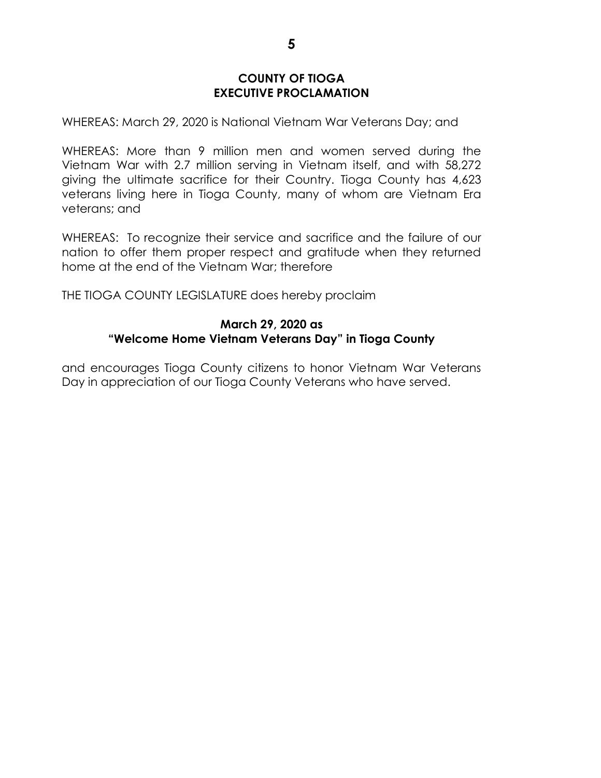WHEREAS: March 29, 2020 is National Vietnam War Veterans Day; and

WHEREAS: More than 9 million men and women served during the Vietnam War with 2.7 million serving in Vietnam itself, and with 58,272 giving the ultimate sacrifice for their Country. Tioga County has 4,623 veterans living here in Tioga County, many of whom are Vietnam Era veterans; and

WHEREAS: To recognize their service and sacrifice and the failure of our nation to offer them proper respect and gratitude when they returned home at the end of the Vietnam War; therefore

THE TIOGA COUNTY LEGISLATURE does hereby proclaim

### **March 29, 2020 as "Welcome Home Vietnam Veterans Day" in Tioga County**

and encourages Tioga County citizens to honor Vietnam War Veterans Day in appreciation of our Tioga County Veterans who have served.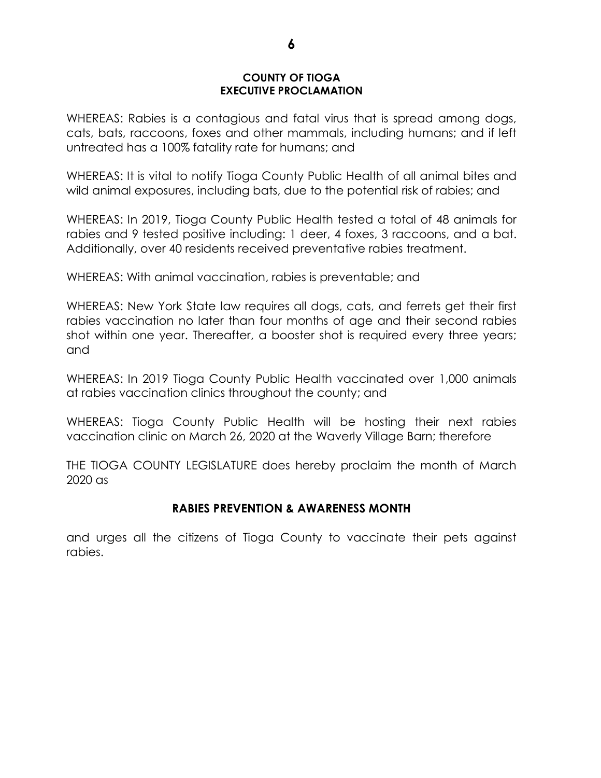WHEREAS: Rabies is a contagious and fatal virus that is spread among dogs, cats, bats, raccoons, foxes and other mammals, including humans; and if left untreated has a 100% fatality rate for humans; and

WHEREAS: It is vital to notify Tioga County Public Health of all animal bites and wild animal exposures, including bats, due to the potential risk of rabies; and

WHEREAS: In 2019, Tioga County Public Health tested a total of 48 animals for rabies and 9 tested positive including: 1 deer, 4 foxes, 3 raccoons, and a bat. Additionally, over 40 residents received preventative rabies treatment.

WHEREAS: With animal vaccination, rabies is preventable; and

WHEREAS: New York State law requires all dogs, cats, and ferrets get their first rabies vaccination no later than four months of age and their second rabies shot within one year. Thereafter, a booster shot is required every three years; and

WHEREAS: In 2019 Tioga County Public Health vaccinated over 1,000 animals at rabies vaccination clinics throughout the county; and

WHEREAS: Tioga County Public Health will be hosting their next rabies vaccination clinic on March 26, 2020 at the Waverly Village Barn; therefore

THE TIOGA COUNTY LEGISLATURE does hereby proclaim the month of March 2020 as

### **RABIES PREVENTION & AWARENESS MONTH**

and urges all the citizens of Tioga County to vaccinate their pets against rabies.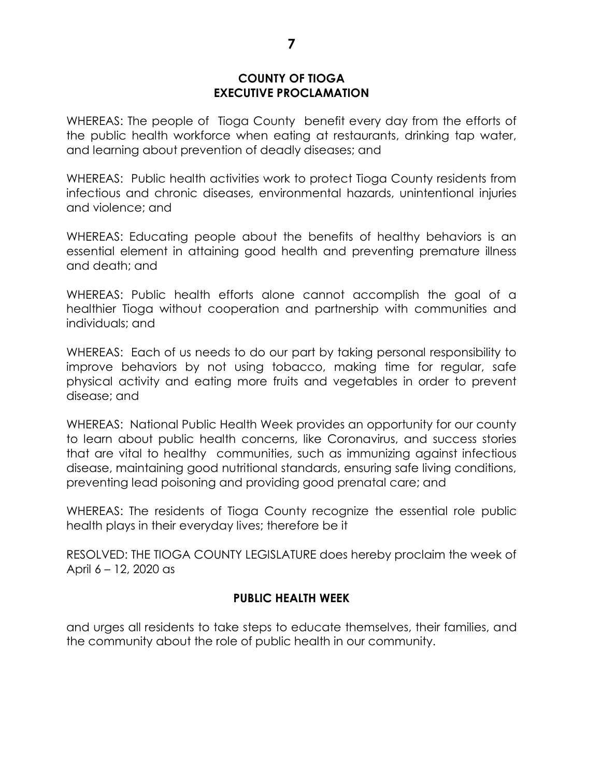WHEREAS: The people of Tioga County benefit every day from the efforts of the public health workforce when eating at restaurants, drinking tap water, and learning about prevention of deadly diseases; and

WHEREAS: Public health activities work to protect Tioga County residents from infectious and chronic diseases, environmental hazards, unintentional injuries and violence; and

WHEREAS: Educating people about the benefits of healthy behaviors is an essential element in attaining good health and preventing premature illness and death; and

WHEREAS: Public health efforts alone cannot accomplish the goal of a healthier Tioga without cooperation and partnership with communities and individuals; and

WHEREAS: Each of us needs to do our part by taking personal responsibility to improve behaviors by not using tobacco, making time for regular, safe physical activity and eating more fruits and vegetables in order to prevent disease; and

WHEREAS: National Public Health Week provides an opportunity for our county to learn about public health concerns, like Coronavirus, and success stories that are vital to healthy communities, such as immunizing against infectious disease, maintaining good nutritional standards, ensuring safe living conditions, preventing lead poisoning and providing good prenatal care; and

WHEREAS: The residents of Tioga County recognize the essential role public health plays in their everyday lives; therefore be it

RESOLVED: THE TIOGA COUNTY LEGISLATURE does hereby proclaim the week of April 6 – 12, 2020 as

# **PUBLIC HEALTH WEEK**

and urges all residents to take steps to educate themselves, their families, and the community about the role of public health in our community.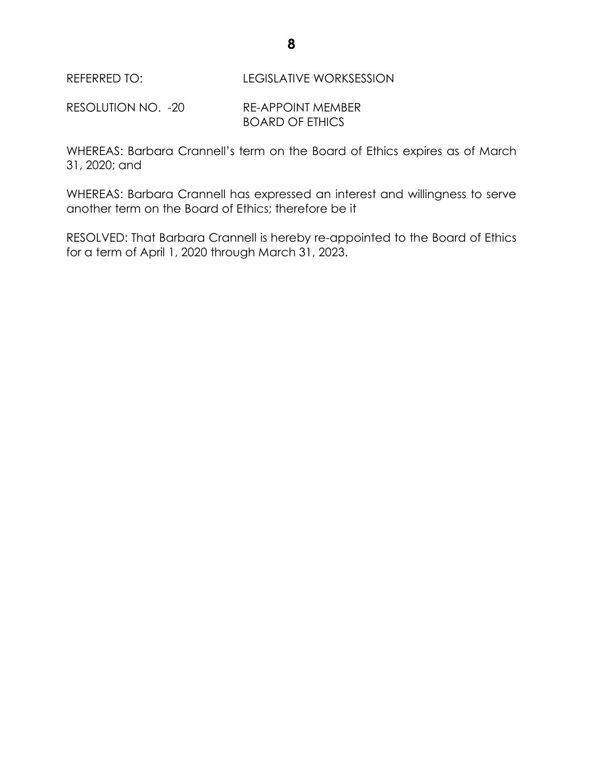REFERRED TO: LEGISLATIVE WORKSESSION

RESOLUTION NO. -20 RE-APPOINT MEMBER BOARD OF ETHICS

WHEREAS: Barbara Crannell's term on the Board of Ethics expires as of March 31, 2020; and

WHEREAS: Barbara Crannell has expressed an interest and willingness to serve another term on the Board of Ethics; therefore be it

RESOLVED: That Barbara Crannell is hereby re-appointed to the Board of Ethics for a term of April 1, 2020 through March 31, 2023.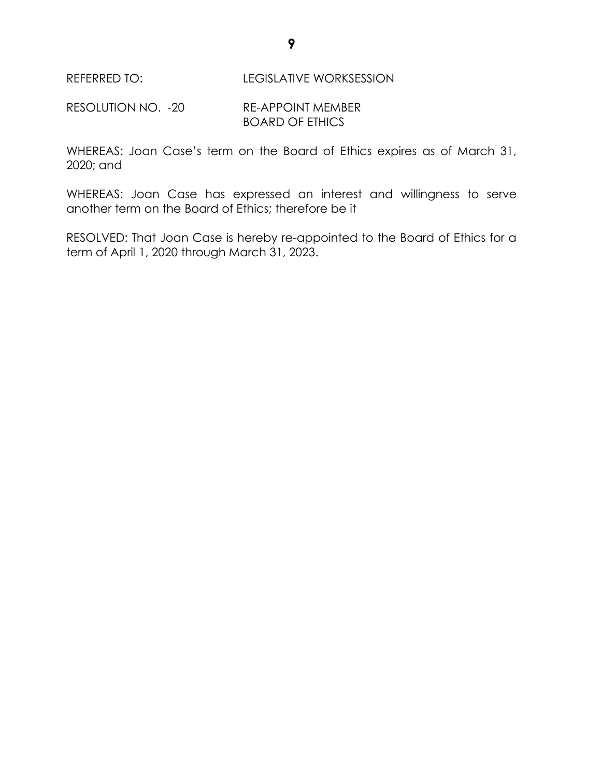REFERRED TO: LEGISLATIVE WORKSESSION

RESOLUTION NO. -20 RE-APPOINT MEMBER BOARD OF ETHICS

WHEREAS: Joan Case's term on the Board of Ethics expires as of March 31, 2020; and

WHEREAS: Joan Case has expressed an interest and willingness to serve another term on the Board of Ethics; therefore be it

RESOLVED: That Joan Case is hereby re-appointed to the Board of Ethics for a term of April 1, 2020 through March 31, 2023.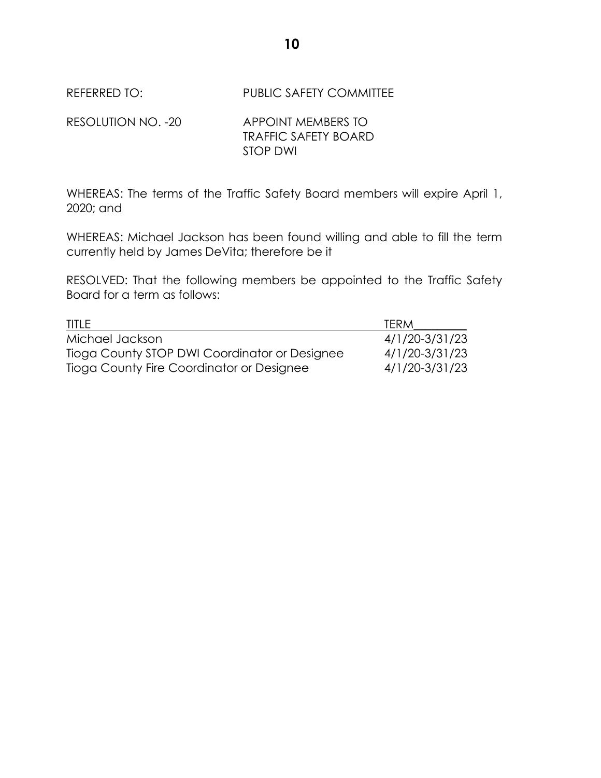REFERRED TO: PUBLIC SAFETY COMMITTEE

| RESOLUTION NO. -20 | APPOINT MEMBERS TO          |
|--------------------|-----------------------------|
|                    | <b>TRAFFIC SAFETY BOARD</b> |
|                    | STOP DWI                    |

WHEREAS: The terms of the Traffic Safety Board members will expire April 1, 2020; and

WHEREAS: Michael Jackson has been found willing and able to fill the term currently held by James DeVita; therefore be it

RESOLVED: That the following members be appointed to the Traffic Safety Board for a term as follows:

| <b>TITLE</b>                                  | <b>TERM</b>    |
|-----------------------------------------------|----------------|
| Michael Jackson                               | 4/1/20-3/31/23 |
| Tioga County STOP DWI Coordinator or Designee | 4/1/20-3/31/23 |
| Tioga County Fire Coordinator or Designee     | 4/1/20-3/31/23 |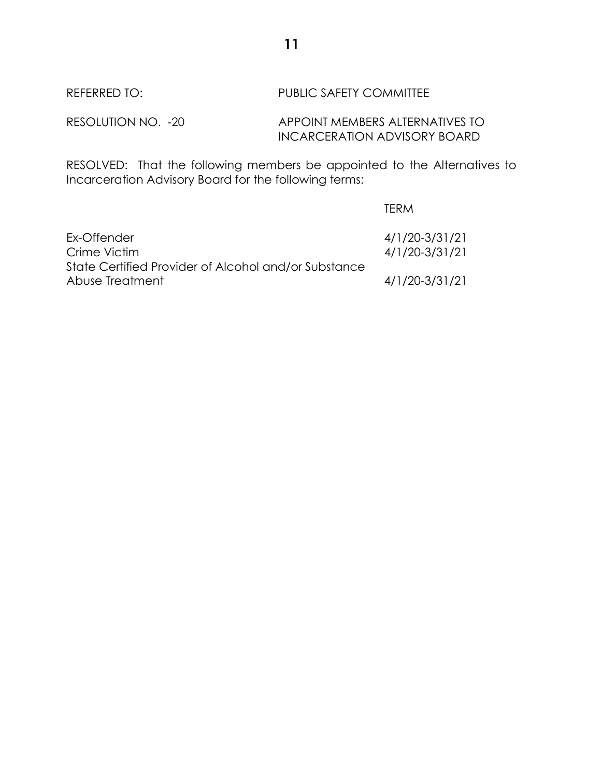# REFERRED TO: PUBLIC SAFETY COMMITTEE

# RESOLUTION NO. -20 APPOINT MEMBERS ALTERNATIVES TO INCARCERATION ADVISORY BOARD

RESOLVED: That the following members be appointed to the Alternatives to Incarceration Advisory Board for the following terms:

|                                                      | <b>TERM</b>    |
|------------------------------------------------------|----------------|
| Ex-Offender                                          | 4/1/20-3/31/21 |
| Crime Victim                                         | 4/1/20-3/31/21 |
| State Certified Provider of Alcohol and/or Substance |                |
| Abuse Treatment                                      | 4/1/20-3/31/21 |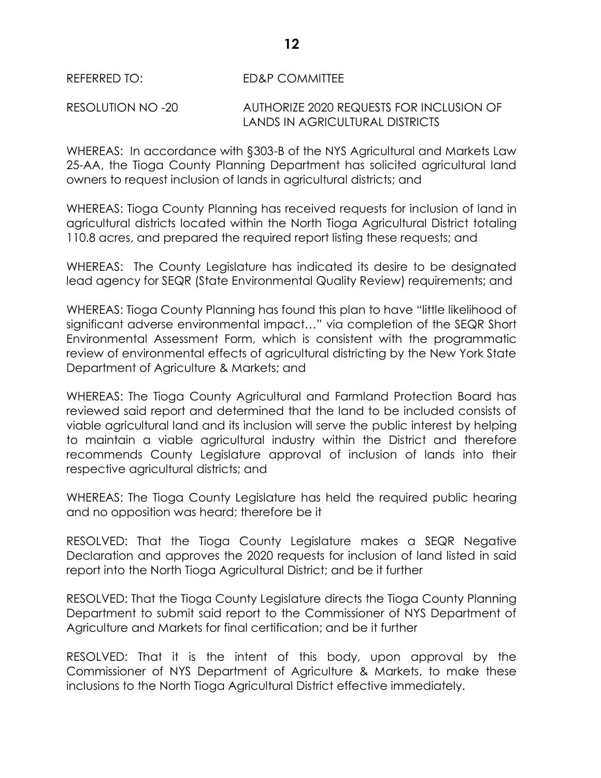REFERRED TO: ED&P COMMITTEE

### RESOLUTION NO -20 AUTHORIZE 2020 REQUESTS FOR INCLUSION OF LANDS IN AGRICULTURAL DISTRICTS

WHEREAS: In accordance with §303-B of the NYS Agricultural and Markets Law 25-AA, the Tioga County Planning Department has solicited agricultural land owners to request inclusion of lands in agricultural districts; and

WHEREAS: Tioga County Planning has received requests for inclusion of land in agricultural districts located within the North Tioga Agricultural District totaling 110.8 acres, and prepared the required report listing these requests; and

WHEREAS: The County Legislature has indicated its desire to be designated lead agency for SEQR (State Environmental Quality Review) requirements; and

WHEREAS: Tioga County Planning has found this plan to have "little likelihood of significant adverse environmental impact…" via completion of the SEQR Short Environmental Assessment Form, which is consistent with the programmatic review of environmental effects of agricultural districting by the New York State Department of Agriculture & Markets; and

WHEREAS: The Tioga County Agricultural and Farmland Protection Board has reviewed said report and determined that the land to be included consists of viable agricultural land and its inclusion will serve the public interest by helping to maintain a viable agricultural industry within the District and therefore recommends County Legislature approval of inclusion of lands into their respective agricultural districts; and

WHEREAS: The Tioga County Legislature has held the required public hearing and no opposition was heard; therefore be it

RESOLVED: That the Tioga County Legislature makes a SEQR Negative Declaration and approves the 2020 requests for inclusion of land listed in said report into the North Tioga Agricultural District; and be it further

RESOLVED: That the Tioga County Legislature directs the Tioga County Planning Department to submit said report to the Commissioner of NYS Department of Agriculture and Markets for final certification; and be it further

RESOLVED: That it is the intent of this body, upon approval by the Commissioner of NYS Department of Agriculture & Markets, to make these inclusions to the North Tioga Agricultural District effective immediately.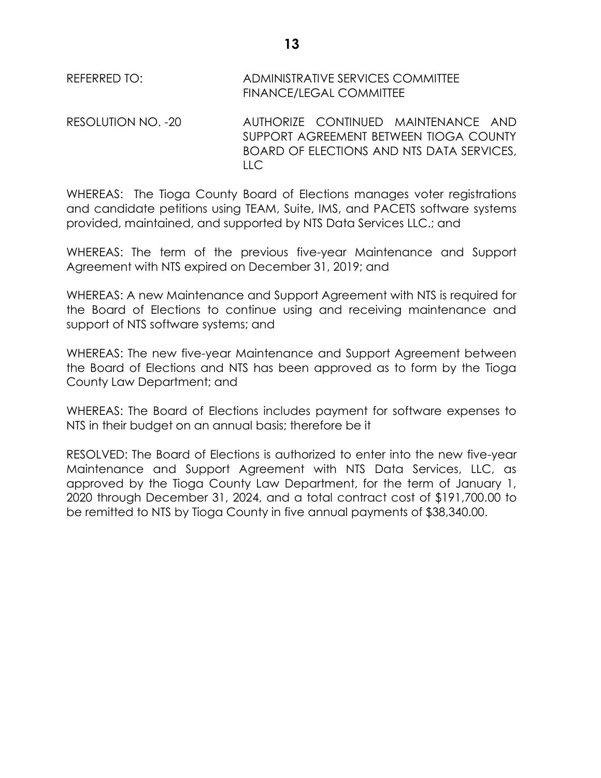| REFERRED TO: I     | ADMINISTRATIVE SERVICES COMMITTEE<br>FINANCE/LEGAL COMMITTEE                  |
|--------------------|-------------------------------------------------------------------------------|
| RESOLUTION NO. -20 | AUTHORIZE CONTINUED MAINTENANCE AND<br>SUPPORT AGREEMENT BETWEEN TIOGA COUNTY |

LLC

WHEREAS: The Tioga County Board of Elections manages voter registrations and candidate petitions using TEAM, Suite, IMS, and PACETS software systems provided, maintained, and supported by NTS Data Services LLC.; and

BOARD OF ELECTIONS AND NTS DATA SERVICES,

WHEREAS: The term of the previous five-year Maintenance and Support Agreement with NTS expired on December 31, 2019; and

WHEREAS: A new Maintenance and Support Agreement with NTS is required for the Board of Elections to continue using and receiving maintenance and support of NTS software systems; and

WHEREAS: The new five-year Maintenance and Support Agreement between the Board of Elections and NTS has been approved as to form by the Tioga County Law Department; and

WHEREAS: The Board of Elections includes payment for software expenses to NTS in their budget on an annual basis; therefore be it

RESOLVED: The Board of Elections is authorized to enter into the new five-year Maintenance and Support Agreement with NTS Data Services, LLC, as approved by the Tioga County Law Department, for the term of January 1, 2020 through December 31, 2024, and a total contract cost of \$191,700.00 to be remitted to NTS by Tioga County in five annual payments of \$38,340.00.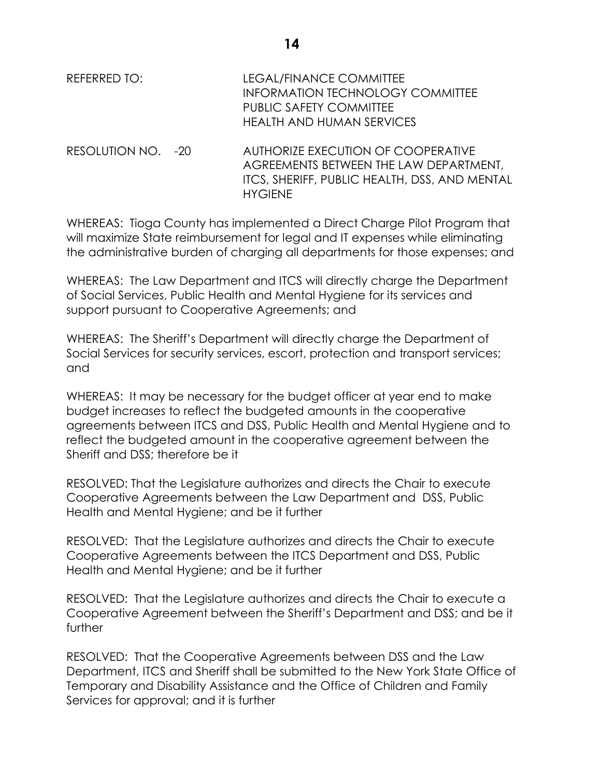| REFERRED TO: | LEGAL/FINANCE COMMITTEE          |
|--------------|----------------------------------|
|              | INFORMATION TECHNOLOGY COMMITTEE |
|              | PUBLIC SAFETY COMMITTEE          |
|              | HEALTH AND HUMAN SERVICES        |
|              |                                  |

RESOLUTION NO. -20 AUTHORIZE EXECUTION OF COOPERATIVE AGREEMENTS BETWEEN THE LAW DEPARTMENT, ITCS, SHERIFF, PUBLIC HEALTH, DSS, AND MENTAL **HYGIENE** 

WHEREAS: Tioga County has implemented a Direct Charge Pilot Program that will maximize State reimbursement for legal and IT expenses while eliminating the administrative burden of charging all departments for those expenses; and

WHEREAS: The Law Department and ITCS will directly charge the Department of Social Services, Public Health and Mental Hygiene for its services and support pursuant to Cooperative Agreements; and

WHEREAS: The Sheriff's Department will directly charge the Department of Social Services for security services, escort, protection and transport services; and

WHEREAS: It may be necessary for the budget officer at year end to make budget increases to reflect the budgeted amounts in the cooperative agreements between ITCS and DSS, Public Health and Mental Hygiene and to reflect the budgeted amount in the cooperative agreement between the Sheriff and DSS; therefore be it

RESOLVED: That the Legislature authorizes and directs the Chair to execute Cooperative Agreements between the Law Department and DSS, Public Health and Mental Hygiene; and be it further

RESOLVED: That the Legislature authorizes and directs the Chair to execute Cooperative Agreements between the ITCS Department and DSS, Public Health and Mental Hygiene; and be it further

RESOLVED: That the Legislature authorizes and directs the Chair to execute a Cooperative Agreement between the Sheriff's Department and DSS; and be it further

RESOLVED: That the Cooperative Agreements between DSS and the Law Department, ITCS and Sheriff shall be submitted to the New York State Office of Temporary and Disability Assistance and the Office of Children and Family Services for approval; and it is further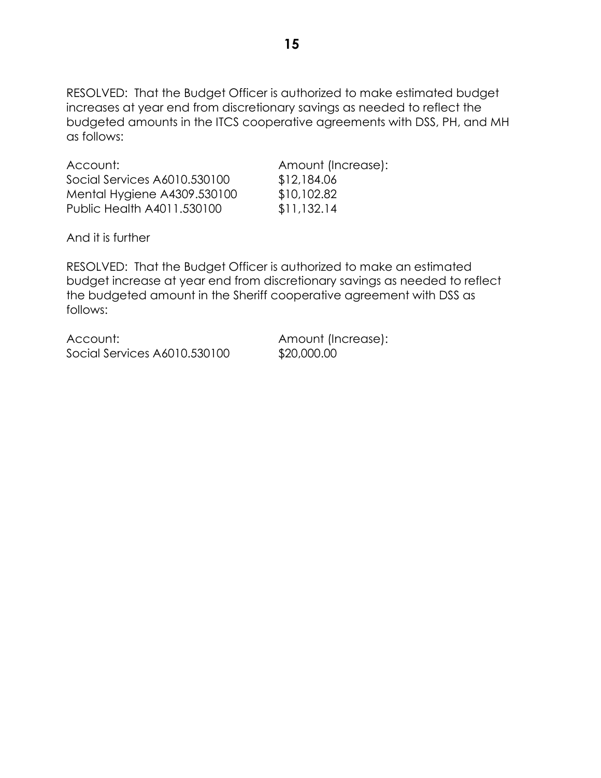RESOLVED: That the Budget Officer is authorized to make estimated budget increases at year end from discretionary savings as needed to reflect the budgeted amounts in the ITCS cooperative agreements with DSS, PH, and MH as follows:

Account: Amount (Increase): Social Services A6010.530100 \$12,184.06 Mental Hygiene A4309.530100 \$10,102.82 Public Health A4011.530100 \$11,132.14

And it is further

RESOLVED: That the Budget Officer is authorized to make an estimated budget increase at year end from discretionary savings as needed to reflect the budgeted amount in the Sheriff cooperative agreement with DSS as follows:

Account: Amount (Increase): Social Services A6010.530100 \$20,000.00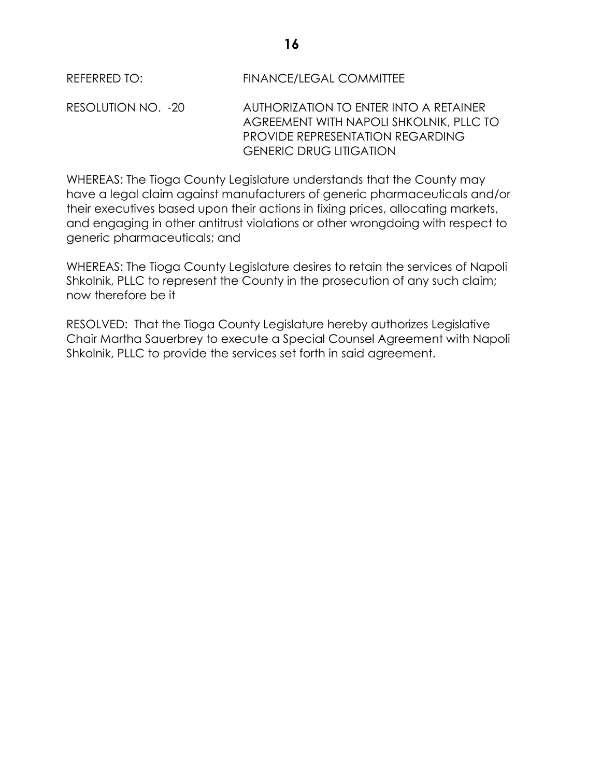REFERRED TO: FINANCE/LEGAL COMMITTEE

RESOLUTION NO. -20 AUTHORIZATION TO ENTER INTO A RETAINER AGREEMENT WITH NAPOLI SHKOLNIK, PLLC TO PROVIDE REPRESENTATION REGARDING GENERIC DRUG LITIGATION

WHEREAS: The Tioga County Legislature understands that the County may have a legal claim against manufacturers of generic pharmaceuticals and/or their executives based upon their actions in fixing prices, allocating markets, and engaging in other antitrust violations or other wrongdoing with respect to generic pharmaceuticals; and

WHEREAS: The Tioga County Legislature desires to retain the services of Napoli Shkolnik, PLLC to represent the County in the prosecution of any such claim; now therefore be it

RESOLVED: That the Tioga County Legislature hereby authorizes Legislative Chair Martha Sauerbrey to execute a Special Counsel Agreement with Napoli Shkolnik, PLLC to provide the services set forth in said agreement.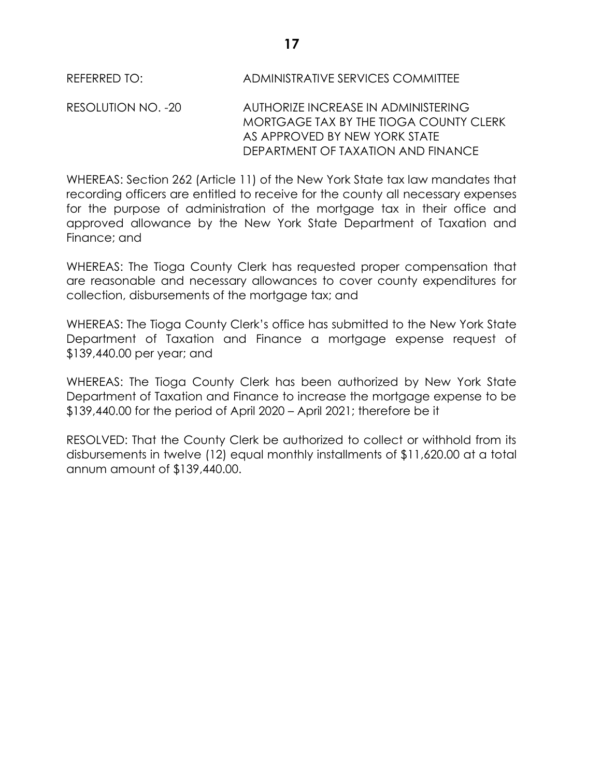### REFERRED TO: ADMINISTRATIVE SERVICES COMMITTEE

RESOLUTION NO. -20 AUTHORIZE INCREASE IN ADMINISTERING MORTGAGE TAX BY THE TIOGA COUNTY CLERK AS APPROVED BY NEW YORK STATE DEPARTMENT OF TAXATION AND FINANCE

WHEREAS: Section 262 (Article 11) of the New York State tax law mandates that recording officers are entitled to receive for the county all necessary expenses for the purpose of administration of the mortgage tax in their office and approved allowance by the New York State Department of Taxation and Finance; and

WHEREAS: The Tioga County Clerk has requested proper compensation that are reasonable and necessary allowances to cover county expenditures for collection, disbursements of the mortgage tax; and

WHEREAS: The Tioga County Clerk's office has submitted to the New York State Department of Taxation and Finance a mortgage expense request of \$139,440.00 per year; and

WHEREAS: The Tioga County Clerk has been authorized by New York State Department of Taxation and Finance to increase the mortgage expense to be \$139,440.00 for the period of April 2020 – April 2021; therefore be it

RESOLVED: That the County Clerk be authorized to collect or withhold from its disbursements in twelve (12) equal monthly installments of \$11,620.00 at a total annum amount of \$139,440.00.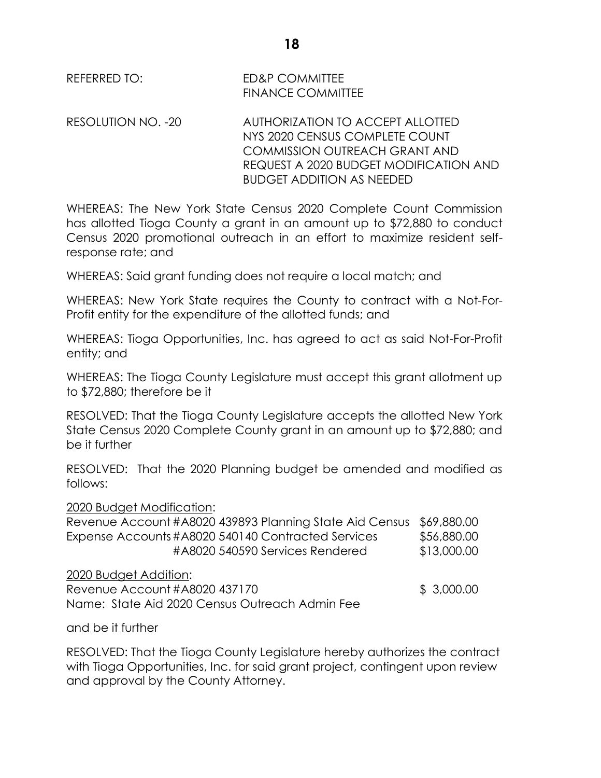REFERRED TO: ED&P COMMITTEE FINANCE COMMITTEE

RESOLUTION NO. -20 AUTHORIZATION TO ACCEPT ALLOTTED NYS 2020 CENSUS COMPLETE COUNT COMMISSION OUTREACH GRANT AND REQUEST A 2020 BUDGET MODIFICATION AND BUDGET ADDITION AS NEEDED

WHEREAS: The New York State Census 2020 Complete Count Commission has allotted Tioga County a grant in an amount up to \$72,880 to conduct Census 2020 promotional outreach in an effort to maximize resident selfresponse rate; and

WHEREAS: Said grant funding does not require a local match; and

WHEREAS: New York State requires the County to contract with a Not-For-Profit entity for the expenditure of the allotted funds; and

WHEREAS: Tioga Opportunities, Inc. has agreed to act as said Not-For-Profit entity; and

WHEREAS: The Tioga County Legislature must accept this grant allotment up to \$72,880; therefore be it

RESOLVED: That the Tioga County Legislature accepts the allotted New York State Census 2020 Complete County grant in an amount up to \$72,880; and be it further

RESOLVED: That the 2020 Planning budget be amended and modified as follows:

2020 Budget Modification:

| Revenue Account #A8020 439893 Planning State Aid Census \$69,880.00 |             |
|---------------------------------------------------------------------|-------------|
| Expense Accounts #A8020 540140 Contracted Services                  | \$56,880.00 |
| #A8020 540590 Services Rendered                                     | \$13,000.00 |

2020 Budget Addition:

Revenue Account #A8020 437170 \$ 3,000.00 Name: State Aid 2020 Census Outreach Admin Fee

and be it further

RESOLVED: That the Tioga County Legislature hereby authorizes the contract with Tioga Opportunities, Inc. for said grant project, contingent upon review and approval by the County Attorney.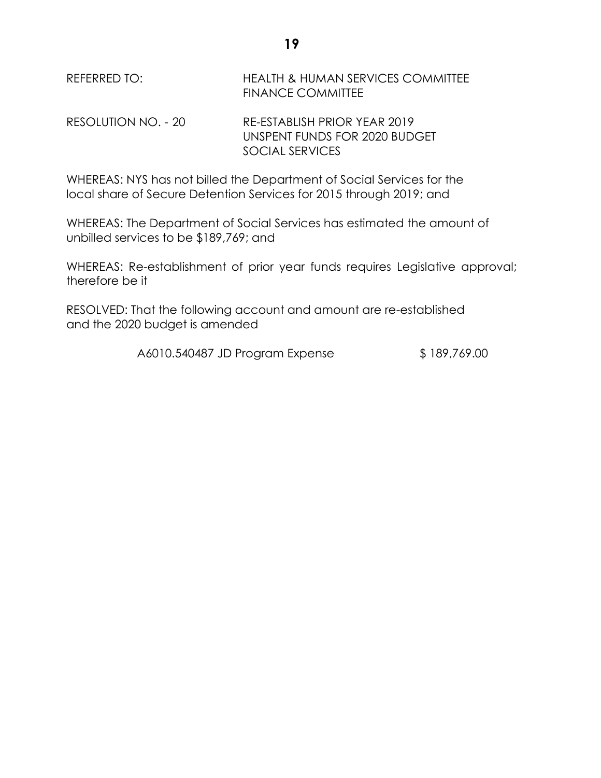| REFERRED TO:        | <b>HEALTH &amp; HUMAN SERVICES COMMITTEE</b><br><b>FINANCE COMMITTEE</b> |
|---------------------|--------------------------------------------------------------------------|
| RESOLUTION NO. - 20 | RE-ESTABLISH PRIOR YEAR 2019<br>UNSPENT FUNDS FOR 2020 BUDGET            |
|                     | SOCIAL SERVICES                                                          |

WHEREAS: NYS has not billed the Department of Social Services for the local share of Secure Detention Services for 2015 through 2019; and

WHEREAS: The Department of Social Services has estimated the amount of unbilled services to be \$189,769; and

WHEREAS: Re-establishment of prior year funds requires Legislative approval; therefore be it

RESOLVED: That the following account and amount are re-established and the 2020 budget is amended

A6010.540487 JD Program Expense \$ 189,769.00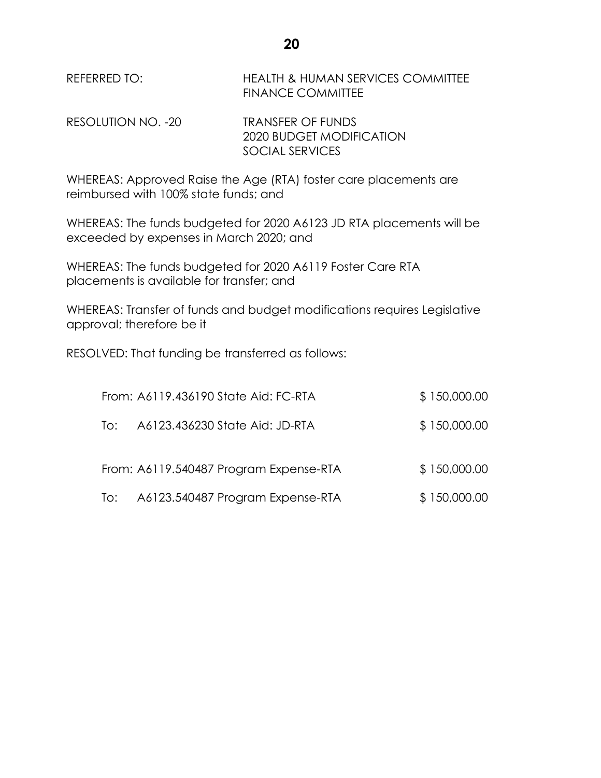REFERRED TO: HEALTH & HUMAN SERVICES COMMITTEE FINANCE COMMITTEE

RESOLUTION NO. -20 TRANSFER OF FUNDS 2020 BUDGET MODIFICATION SOCIAL SERVICES

WHEREAS: Approved Raise the Age (RTA) foster care placements are reimbursed with 100% state funds; and

WHEREAS: The funds budgeted for 2020 A6123 JD RTA placements will be exceeded by expenses in March 2020; and

WHEREAS: The funds budgeted for 2020 A6119 Foster Care RTA placements is available for transfer; and

WHEREAS: Transfer of funds and budget modifications requires Legislative approval; therefore be it

RESOLVED: That funding be transferred as follows:

|     | From: A6119.436190 State Aid: FC-RTA   | \$150,000.00 |
|-----|----------------------------------------|--------------|
| To: | A6123.436230 State Aid: JD-RTA         | \$150,000.00 |
|     | From: A6119.540487 Program Expense-RTA | \$150,000.00 |
| To: | A6123.540487 Program Expense-RTA       | \$150,000.00 |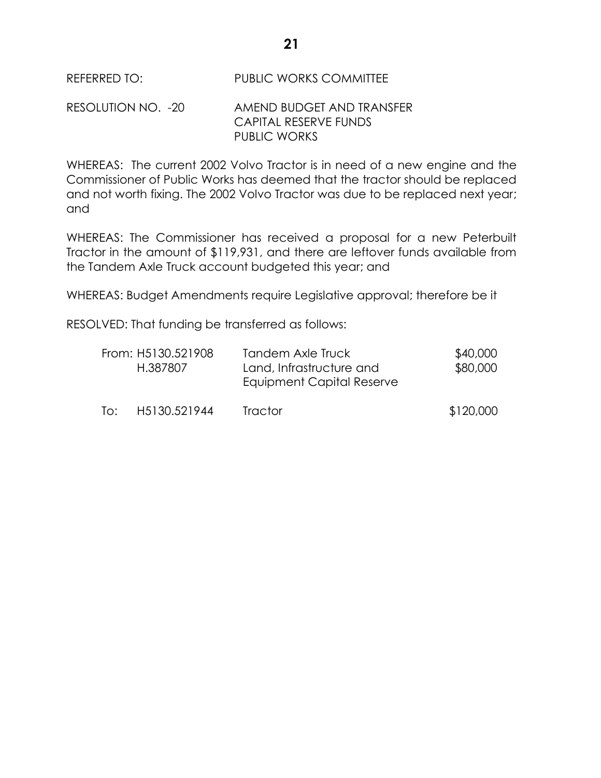REFERRED TO: PUBLIC WORKS COMMITTEE

## RESOLUTION NO. -20 AMEND BUDGET AND TRANSFER CAPITAL RESERVE FUNDS PUBLIC WORKS

WHEREAS: The current 2002 Volvo Tractor is in need of a new engine and the Commissioner of Public Works has deemed that the tractor should be replaced and not worth fixing. The 2002 Volvo Tractor was due to be replaced next year; and

WHEREAS: The Commissioner has received a proposal for a new Peterbuilt Tractor in the amount of \$119,931, and there are leftover funds available from the Tandem Axle Truck account budgeted this year; and

WHEREAS: Budget Amendments require Legislative approval; therefore be it

RESOLVED: That funding be transferred as follows:

|     | From: H5130.521908<br>H.387807 | Tandem Axle Truck<br>Land, Infrastructure and<br>Equipment Capital Reserve | \$40,000<br>\$80,000 |
|-----|--------------------------------|----------------------------------------------------------------------------|----------------------|
| To: | H5130.521944                   | <b>Tractor</b>                                                             | \$120,000            |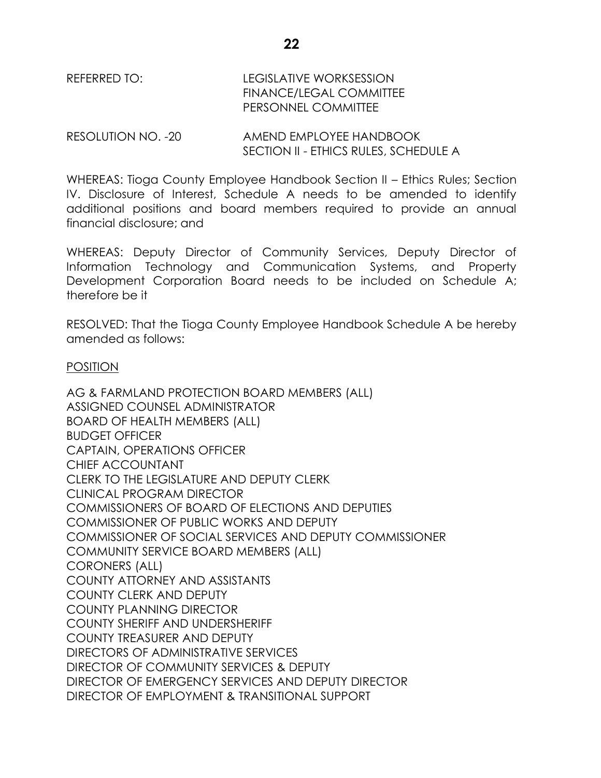REFERRED TO: LEGISLATIVE WORKSESSION FINANCE/LEGAL COMMITTEE PERSONNEL COMMITTEE

RESOLUTION NO. -20 AMEND EMPLOYEE HANDBOOK SECTION II - ETHICS RULES, SCHEDULE A

WHEREAS: Tioga County Employee Handbook Section II – Ethics Rules; Section IV. Disclosure of Interest, Schedule A needs to be amended to identify additional positions and board members required to provide an annual financial disclosure; and

WHEREAS: Deputy Director of Community Services, Deputy Director of Information Technology and Communication Systems, and Property Development Corporation Board needs to be included on Schedule A; therefore be it

RESOLVED: That the Tioga County Employee Handbook Schedule A be hereby amended as follows:

### POSITION

AG & FARMLAND PROTECTION BOARD MEMBERS (ALL) ASSIGNED COUNSEL ADMINISTRATOR BOARD OF HEALTH MEMBERS (ALL) BUDGET OFFICER CAPTAIN, OPERATIONS OFFICER CHIEF ACCOUNTANT CLERK TO THE LEGISLATURE AND DEPUTY CLERK CLINICAL PROGRAM DIRECTOR COMMISSIONERS OF BOARD OF ELECTIONS AND DEPUTIES COMMISSIONER OF PUBLIC WORKS AND DEPUTY COMMISSIONER OF SOCIAL SERVICES AND DEPUTY COMMISSIONER COMMUNITY SERVICE BOARD MEMBERS (ALL) CORONERS (ALL) COUNTY ATTORNEY AND ASSISTANTS COUNTY CLERK AND DEPUTY COUNTY PLANNING DIRECTOR COUNTY SHERIFF AND UNDERSHERIFF COUNTY TREASURER AND DEPUTY DIRECTORS OF ADMINISTRATIVE SERVICES DIRECTOR OF COMMUNITY SERVICES & DEPUTY DIRECTOR OF EMERGENCY SERVICES AND DEPUTY DIRECTOR DIRECTOR OF EMPLOYMENT & TRANSITIONAL SUPPORT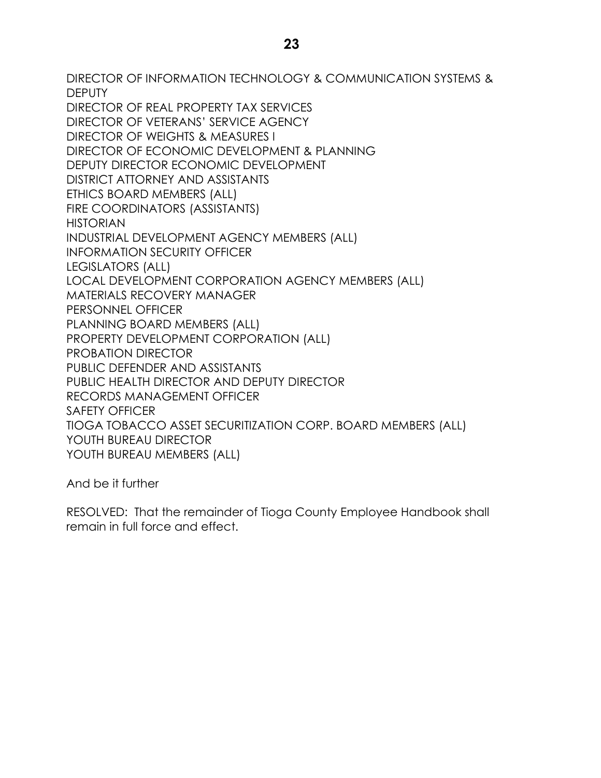**23**

DIRECTOR OF INFORMATION TECHNOLOGY & COMMUNICATION SYSTEMS & DEPUTY DIRECTOR OF REAL PROPERTY TAX SERVICES DIRECTOR OF VETERANS' SERVICE AGENCY DIRECTOR OF WEIGHTS & MEASURES I DIRECTOR OF ECONOMIC DEVELOPMENT & PLANNING DEPUTY DIRECTOR ECONOMIC DEVELOPMENT DISTRICT ATTORNEY AND ASSISTANTS ETHICS BOARD MEMBERS (ALL) FIRE COORDINATORS (ASSISTANTS) HISTORIAN INDUSTRIAL DEVELOPMENT AGENCY MEMBERS (ALL) INFORMATION SECURITY OFFICER LEGISLATORS (ALL) LOCAL DEVELOPMENT CORPORATION AGENCY MEMBERS (ALL) MATERIALS RECOVERY MANAGER PERSONNEL OFFICER PLANNING BOARD MEMBERS (ALL) PROPERTY DEVELOPMENT CORPORATION (ALL) PROBATION DIRECTOR PUBLIC DEFENDER AND ASSISTANTS PUBLIC HEALTH DIRECTOR AND DEPUTY DIRECTOR RECORDS MANAGEMENT OFFICER SAFETY OFFICER TIOGA TOBACCO ASSET SECURITIZATION CORP. BOARD MEMBERS (ALL) YOUTH BUREAU DIRECTOR YOUTH BUREAU MEMBERS (ALL)

And be it further

RESOLVED: That the remainder of Tioga County Employee Handbook shall remain in full force and effect.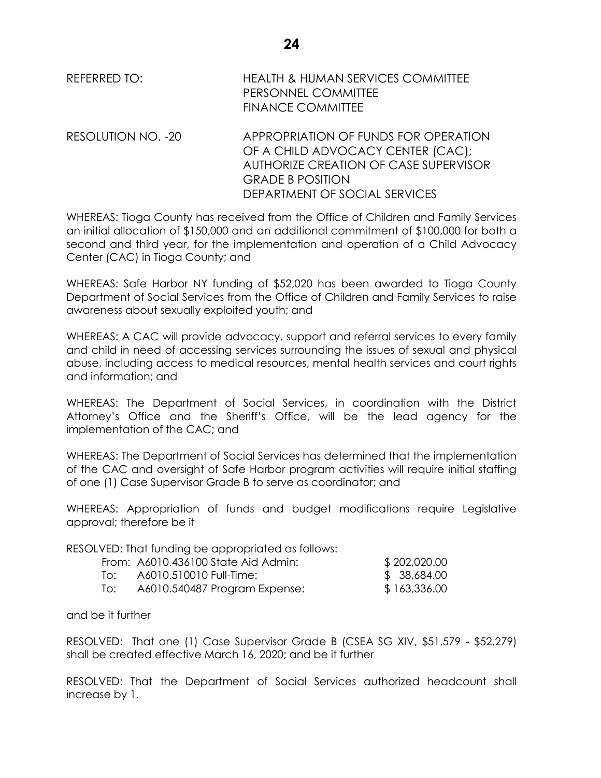| REFERRED TO:       | <b>HEALTH &amp; HUMAN SERVICES COMMITTEE</b><br>PERSONNEL COMMITTEE<br><b>FINANCE COMMITTEE</b>                    |
|--------------------|--------------------------------------------------------------------------------------------------------------------|
| RESOLUTION NO. -20 | APPROPRIATION OF FUNDS FOR OPERATION<br>OF A CHILD ADVOCACY CENTER (CAC);<br>AUTHORIZE CREATION OF CASE SUPERVISOR |

WHEREAS: Tioga County has received from the Office of Children and Family Services an initial allocation of \$150,000 and an additional commitment of \$100,000 for both a second and third year, for the implementation and operation of a Child Advocacy Center (CAC) in Tioga County; and

GRADE B POSITION

DEPARTMENT OF SOCIAL SERVICES

WHEREAS: Safe Harbor NY funding of \$52,020 has been awarded to Tioga County Department of Social Services from the Office of Children and Family Services to raise awareness about sexually exploited youth; and

WHEREAS: A CAC will provide advocacy, support and referral services to every family and child in need of accessing services surrounding the issues of sexual and physical abuse, including access to medical resources, mental health services and court rights and information; and

WHEREAS: The Department of Social Services, in coordination with the District Attorney's Office and the Sheriff's Office, will be the lead agency for the implementation of the CAC; and

WHEREAS: The Department of Social Services has determined that the implementation of the CAC and oversight of Safe Harbor program activities will require initial staffing of one (1) Case Supervisor Grade B to serve as coordinator; and

WHEREAS: Appropriation of funds and budget modifications require Legislative approval; therefore be it

RESOLVED: That funding be appropriated as follows:

|     | From: A6010.436100 State Aid Admin: | \$202,020.00 |
|-----|-------------------------------------|--------------|
| TO: | A6010.510010 Full-Time:             | \$ 38,684.00 |
| lo: | A6010.540487 Program Expense:       | \$163,336.00 |

and be it further

RESOLVED: That one (1) Case Supervisor Grade B (CSEA SG XIV, \$51,579 - \$52,279) shall be created effective March 16, 2020; and be it further

RESOLVED: That the Department of Social Services authorized headcount shall increase by 1.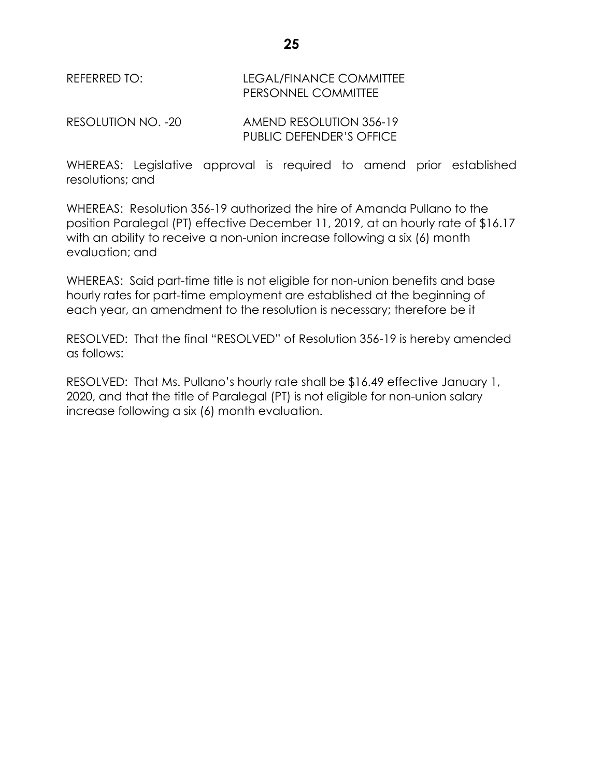### REFERRED TO: LEGAL/FINANCE COMMITTEE PERSONNEL COMMITTEE

RESOLUTION NO. -20 AMEND RESOLUTION 356-19 PUBLIC DEFENDER'S OFFICE

WHEREAS: Legislative approval is required to amend prior established resolutions; and

WHEREAS: Resolution 356-19 authorized the hire of Amanda Pullano to the position Paralegal (PT) effective December 11, 2019, at an hourly rate of \$16.17 with an ability to receive a non-union increase following a six (6) month evaluation; and

WHEREAS: Said part-time title is not eligible for non-union benefits and base hourly rates for part-time employment are established at the beginning of each year, an amendment to the resolution is necessary; therefore be it

RESOLVED: That the final "RESOLVED" of Resolution 356-19 is hereby amended as follows:

RESOLVED: That Ms. Pullano's hourly rate shall be \$16.49 effective January 1, 2020, and that the title of Paralegal (PT) is not eligible for non-union salary increase following a six (6) month evaluation.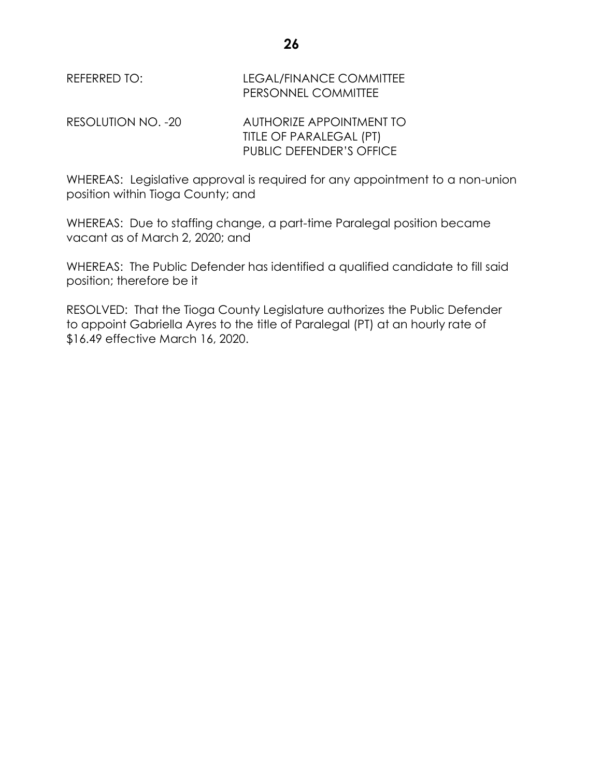| REFERRED TO:       | <b>LEGAL/FINANCE COMMITTEE</b><br>PERSONNEL COMMITTEE                                  |
|--------------------|----------------------------------------------------------------------------------------|
| RESOLUTION NO. -20 | AUTHORIZE APPOINTMENT TO<br>TITLE OF PARALEGAL (PT)<br><b>PUBLIC DEFENDER'S OFFICE</b> |

WHEREAS: Legislative approval is required for any appointment to a non-union position within Tioga County; and

WHEREAS: Due to staffing change, a part-time Paralegal position became vacant as of March 2, 2020; and

WHEREAS: The Public Defender has identified a qualified candidate to fill said position; therefore be it

RESOLVED: That the Tioga County Legislature authorizes the Public Defender to appoint Gabriella Ayres to the title of Paralegal (PT) at an hourly rate of \$16.49 effective March 16, 2020.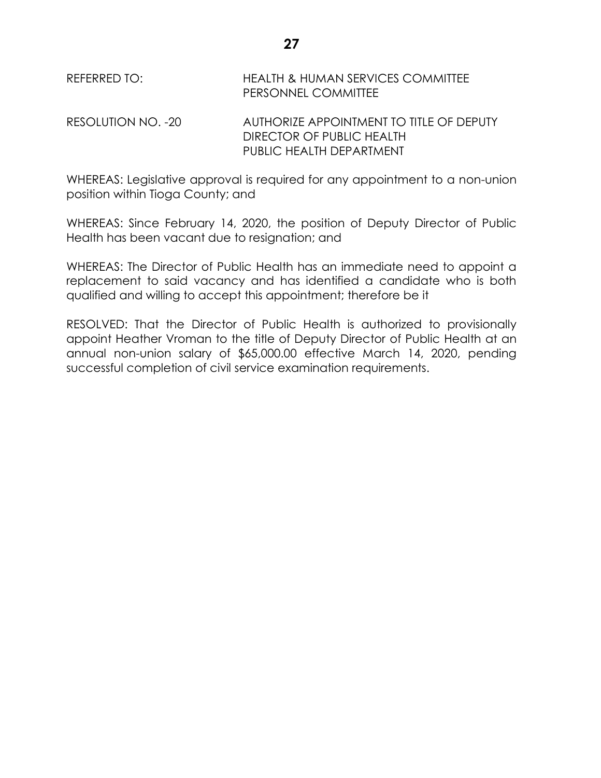| REFERRED TO:       | HEALTH & HUMAN SERVICES COMMITTEE<br>PERSONNEL COMMITTEE                                          |
|--------------------|---------------------------------------------------------------------------------------------------|
| RESOLUTION NO. -20 | AUTHORIZE APPOINTMENT TO TITLE OF DEPUTY<br>DIRECTOR OF PUBLIC HEALTH<br>PUBLIC HEALTH DEPARTMENT |

WHEREAS: Legislative approval is required for any appointment to a non-union position within Tioga County; and

WHEREAS: Since February 14, 2020, the position of Deputy Director of Public Health has been vacant due to resignation; and

WHEREAS: The Director of Public Health has an immediate need to appoint a replacement to said vacancy and has identified a candidate who is both qualified and willing to accept this appointment; therefore be it

RESOLVED: That the Director of Public Health is authorized to provisionally appoint Heather Vroman to the title of Deputy Director of Public Health at an annual non-union salary of \$65,000.00 effective March 14, 2020, pending successful completion of civil service examination requirements.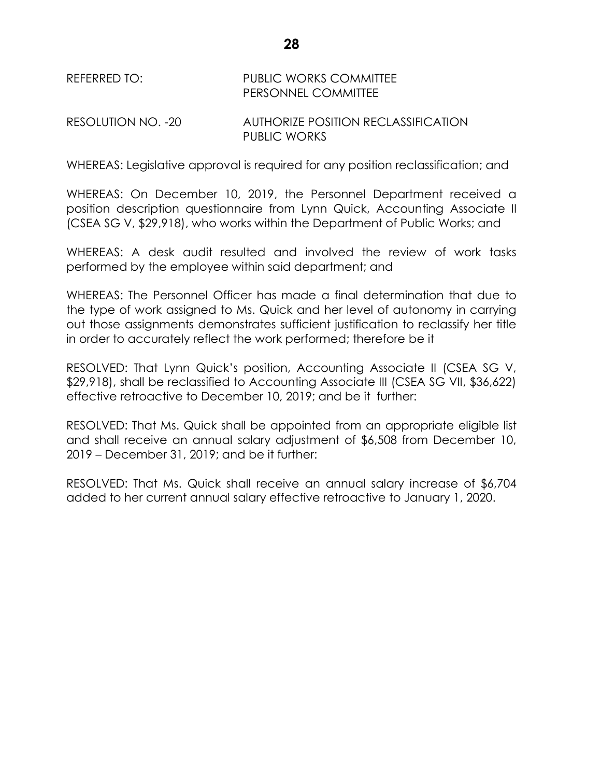# REFERRED TO: PUBLIC WORKS COMMITTEE PERSONNEL COMMITTEE

### RESOLUTION NO. -20 AUTHORIZE POSITION RECLASSIFICATION PUBLIC WORKS

WHEREAS: Legislative approval is required for any position reclassification; and

WHEREAS: On December 10, 2019, the Personnel Department received a position description questionnaire from Lynn Quick, Accounting Associate II (CSEA SG V, \$29,918), who works within the Department of Public Works; and

WHEREAS: A desk audit resulted and involved the review of work tasks performed by the employee within said department; and

WHEREAS: The Personnel Officer has made a final determination that due to the type of work assigned to Ms. Quick and her level of autonomy in carrying out those assignments demonstrates sufficient justification to reclassify her title in order to accurately reflect the work performed; therefore be it

RESOLVED: That Lynn Quick's position, Accounting Associate II (CSEA SG V, \$29,918), shall be reclassified to Accounting Associate III (CSEA SG VII, \$36,622) effective retroactive to December 10, 2019; and be it further:

RESOLVED: That Ms. Quick shall be appointed from an appropriate eligible list and shall receive an annual salary adjustment of \$6,508 from December 10, 2019 – December 31, 2019; and be it further:

RESOLVED: That Ms. Quick shall receive an annual salary increase of \$6,704 added to her current annual salary effective retroactive to January 1, 2020.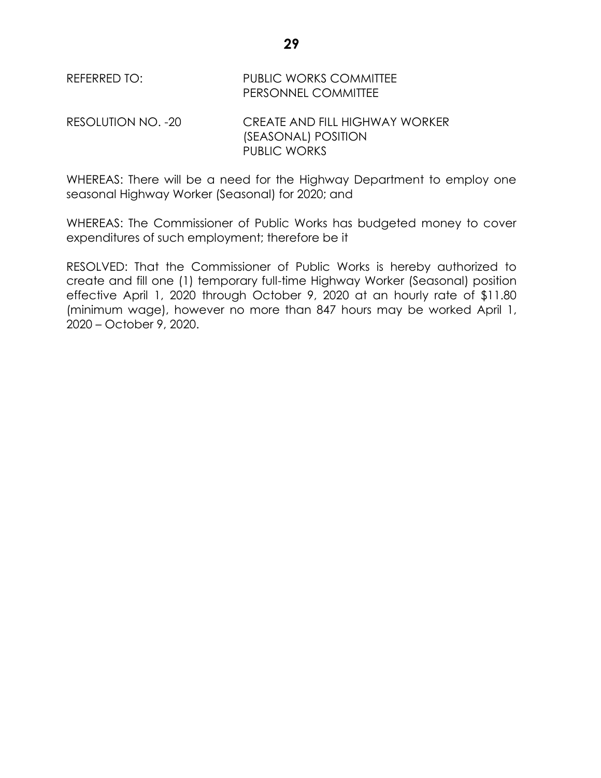| REFERRED TO: | <b>PUBLIC WORKS COMMITTEE</b> |
|--------------|-------------------------------|
|              | <b>PERSONNEL COMMITTEE</b>    |
|              |                               |

RESOLUTION NO. -20 CREATE AND FILL HIGHWAY WORKER (SEASONAL) POSITION PUBLIC WORKS

WHEREAS: There will be a need for the Highway Department to employ one seasonal Highway Worker (Seasonal) for 2020; and

WHEREAS: The Commissioner of Public Works has budgeted money to cover expenditures of such employment; therefore be it

RESOLVED: That the Commissioner of Public Works is hereby authorized to create and fill one (1) temporary full-time Highway Worker (Seasonal) position effective April 1, 2020 through October 9, 2020 at an hourly rate of \$11.80 (minimum wage), however no more than 847 hours may be worked April 1, 2020 – October 9, 2020.